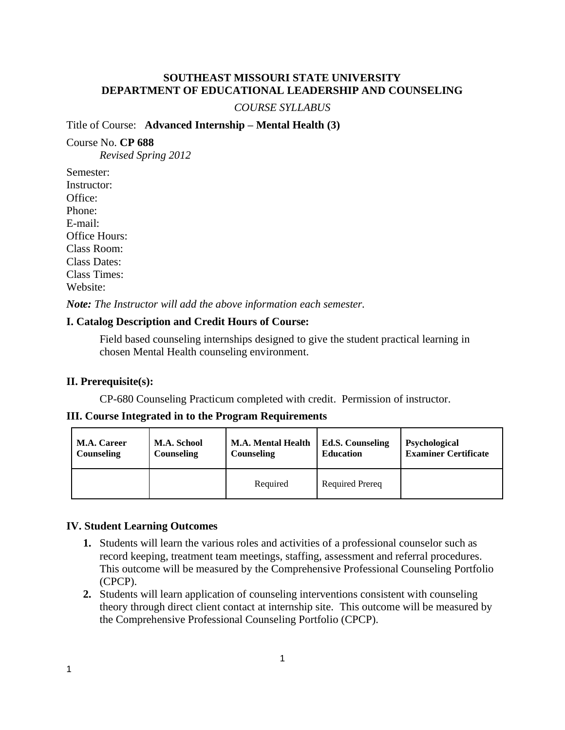## **SOUTHEAST MISSOURI STATE UNIVERSITY DEPARTMENT OF EDUCATIONAL LEADERSHIP AND COUNSELING**

#### *COURSE SYLLABUS*

#### Title of Course: **Advanced Internship – Mental Health (3)**

#### Course No. **CP 688**

*Revised Spring 2012*

Semester: Instructor: Office: Phone: E-mail: Office Hours: Class Room: Class Dates: Class Times: Website:

*Note: The Instructor will add the above information each semester.*

## **I. Catalog Description and Credit Hours of Course:**

Field based counseling internships designed to give the student practical learning in chosen Mental Health counseling environment.

## **II. Prerequisite(s):**

CP-680 Counseling Practicum completed with credit. Permission of instructor.

#### **III. Course Integrated in to the Program Requirements**

| <b>M.A. Career</b> | M.A. School       | <b>M.A. Mental Health</b> | <b>Ed.S. Counseling</b> | <b>Psychological</b>        |
|--------------------|-------------------|---------------------------|-------------------------|-----------------------------|
| Counseling         | <b>Counseling</b> | Counseling                | <b>Education</b>        | <b>Examiner Certificate</b> |
|                    |                   | Required                  | <b>Required Prereq</b>  |                             |

#### **IV. Student Learning Outcomes**

- **1.** Students will learn the various roles and activities of a professional counselor such as record keeping, treatment team meetings, staffing, assessment and referral procedures. This outcome will be measured by the Comprehensive Professional Counseling Portfolio (CPCP).
- **2.** Students will learn application of counseling interventions consistent with counseling theory through direct client contact at internship site. This outcome will be measured by the Comprehensive Professional Counseling Portfolio (CPCP).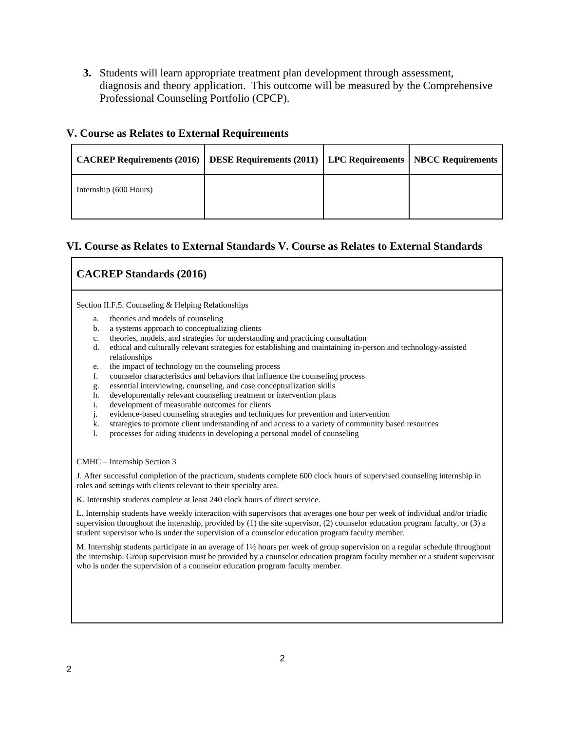**3.** Students will learn appropriate treatment plan development through assessment, diagnosis and theory application. This outcome will be measured by the Comprehensive Professional Counseling Portfolio (CPCP).

#### **V. Course as Relates to External Requirements**

| CACREP Requirements (2016)   DESE Requirements (2011)   LPC Requirements   NBCC Requirements |  |  |
|----------------------------------------------------------------------------------------------|--|--|
| Internship (600 Hours)                                                                       |  |  |

## **VI. Course as Relates to External Standards V. Course as Relates to External Standards**

# **CACREP Standards (2016)**

Section II.F.5. Counseling & Helping Relationships

- a. theories and models of counseling
- b. a systems approach to conceptualizing clients
- c. theories, models, and strategies for understanding and practicing consultation
- d. ethical and culturally relevant strategies for establishing and maintaining in-person and technology-assisted relationships
- e. the impact of technology on the counseling process
- f. counselor characteristics and behaviors that influence the counseling process
- g. essential interviewing, counseling, and case conceptualization skills
- h. developmentally relevant counseling treatment or intervention plans
- i. development of measurable outcomes for clients
- j. evidence-based counseling strategies and techniques for prevention and intervention
- k. strategies to promote client understanding of and access to a variety of community based resources
- l. processes for aiding students in developing a personal model of counseling

CMHC – Internship Section 3

J. After successful completion of the practicum, students complete 600 clock hours of supervised counseling internship in roles and settings with clients relevant to their specialty area.

K. Internship students complete at least 240 clock hours of direct service.

L. Internship students have weekly interaction with supervisors that averages one hour per week of individual and/or triadic supervision throughout the internship, provided by (1) the site supervisor, (2) counselor education program faculty, or (3) a student supervisor who is under the supervision of a counselor education program faculty member.

M. Internship students participate in an average of 1½ hours per week of group supervision on a regular schedule throughout the internship. Group supervision must be provided by a counselor education program faculty member or a student supervisor who is under the supervision of a counselor education program faculty member.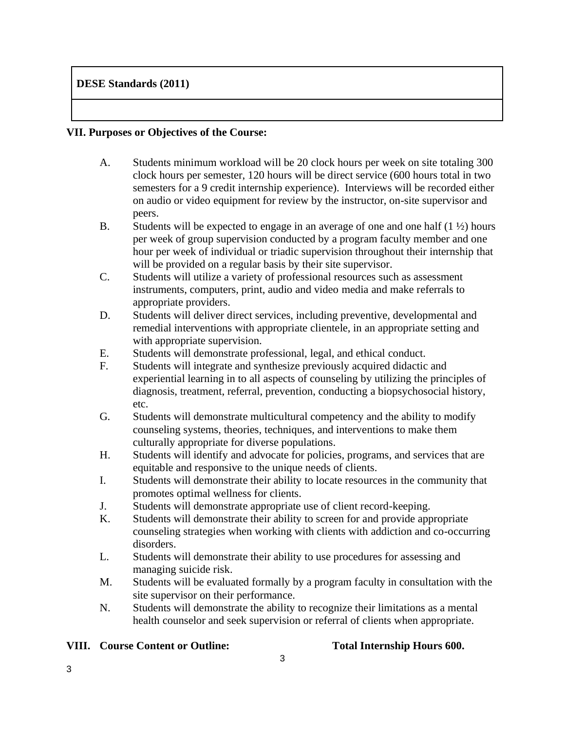# **DESE Standards (2011)**

## **VII. Purposes or Objectives of the Course:**

- A. Students minimum workload will be 20 clock hours per week on site totaling 300 clock hours per semester, 120 hours will be direct service (600 hours total in two semesters for a 9 credit internship experience). Interviews will be recorded either on audio or video equipment for review by the instructor, on-site supervisor and peers.
- B. Students will be expected to engage in an average of one and one half  $(1 \frac{1}{2})$  hours per week of group supervision conducted by a program faculty member and one hour per week of individual or triadic supervision throughout their internship that will be provided on a regular basis by their site supervisor.
- C. Students will utilize a variety of professional resources such as assessment instruments, computers, print, audio and video media and make referrals to appropriate providers.
- D. Students will deliver direct services, including preventive, developmental and remedial interventions with appropriate clientele, in an appropriate setting and with appropriate supervision.
- E. Students will demonstrate professional, legal, and ethical conduct.
- F. Students will integrate and synthesize previously acquired didactic and experiential learning in to all aspects of counseling by utilizing the principles of diagnosis, treatment, referral, prevention, conducting a biopsychosocial history, etc.
- G. Students will demonstrate multicultural competency and the ability to modify counseling systems, theories, techniques, and interventions to make them culturally appropriate for diverse populations.
- H. Students will identify and advocate for policies, programs, and services that are equitable and responsive to the unique needs of clients.
- I. Students will demonstrate their ability to locate resources in the community that promotes optimal wellness for clients.
- J. Students will demonstrate appropriate use of client record-keeping.
- K. Students will demonstrate their ability to screen for and provide appropriate counseling strategies when working with clients with addiction and co-occurring disorders.
- L. Students will demonstrate their ability to use procedures for assessing and managing suicide risk.
- M. Students will be evaluated formally by a program faculty in consultation with the site supervisor on their performance.
- N. Students will demonstrate the ability to recognize their limitations as a mental health counselor and seek supervision or referral of clients when appropriate.

## **VIII. Course Content or Outline: Total Internship Hours 600.**

3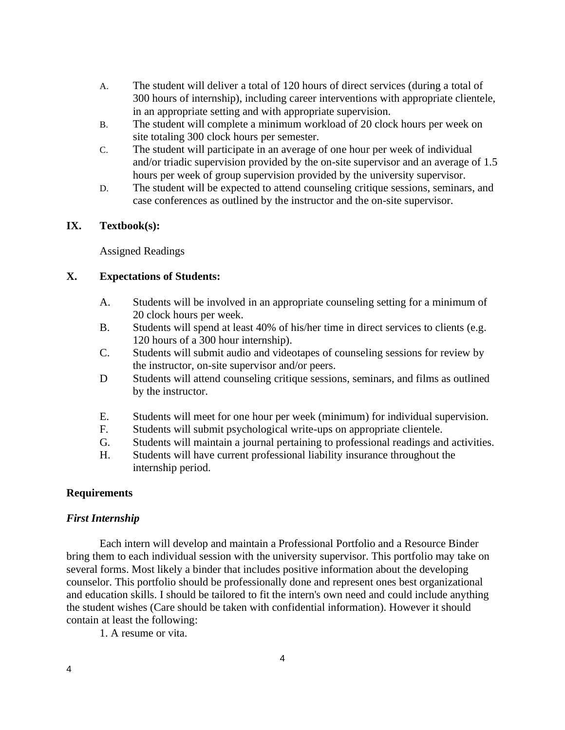- A. The student will deliver a total of 120 hours of direct services (during a total of 300 hours of internship), including career interventions with appropriate clientele, in an appropriate setting and with appropriate supervision.
- B. The student will complete a minimum workload of 20 clock hours per week on site totaling 300 clock hours per semester.
- C. The student will participate in an average of one hour per week of individual and/or triadic supervision provided by the on-site supervisor and an average of 1.5 hours per week of group supervision provided by the university supervisor.
- D. The student will be expected to attend counseling critique sessions, seminars, and case conferences as outlined by the instructor and the on-site supervisor.

## **IX. Textbook(s):**

Assigned Readings

## **X. Expectations of Students:**

- A. Students will be involved in an appropriate counseling setting for a minimum of 20 clock hours per week.
- B. Students will spend at least 40% of his/her time in direct services to clients (e.g. 120 hours of a 300 hour internship).
- C. Students will submit audio and videotapes of counseling sessions for review by the instructor, on-site supervisor and/or peers.
- D Students will attend counseling critique sessions, seminars, and films as outlined by the instructor.
- E. Students will meet for one hour per week (minimum) for individual supervision.
- F. Students will submit psychological write-ups on appropriate clientele.
- G. Students will maintain a journal pertaining to professional readings and activities.
- H. Students will have current professional liability insurance throughout the internship period.

## **Requirements**

## *First Internship*

Each intern will develop and maintain a Professional Portfolio and a Resource Binder bring them to each individual session with the university supervisor. This portfolio may take on several forms. Most likely a binder that includes positive information about the developing counselor. This portfolio should be professionally done and represent ones best organizational and education skills. I should be tailored to fit the intern's own need and could include anything the student wishes (Care should be taken with confidential information). However it should contain at least the following:

1. A resume or vita.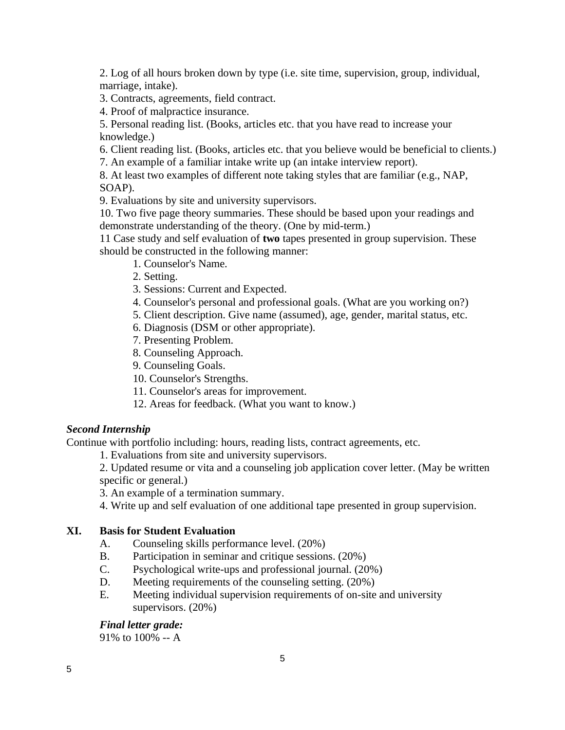2. Log of all hours broken down by type (i.e. site time, supervision, group, individual, marriage, intake).

3. Contracts, agreements, field contract.

4. Proof of malpractice insurance.

5. Personal reading list. (Books, articles etc. that you have read to increase your knowledge.)

6. Client reading list. (Books, articles etc. that you believe would be beneficial to clients.)

7. An example of a familiar intake write up (an intake interview report).

8. At least two examples of different note taking styles that are familiar (e.g., NAP, SOAP).

9. Evaluations by site and university supervisors.

10. Two five page theory summaries. These should be based upon your readings and demonstrate understanding of the theory. (One by mid-term.)

11 Case study and self evaluation of **two** tapes presented in group supervision. These should be constructed in the following manner:

- 1. Counselor's Name.
- 2. Setting.
- 3. Sessions: Current and Expected.
- 4. Counselor's personal and professional goals. (What are you working on?)
- 5. Client description. Give name (assumed), age, gender, marital status, etc.
- 6. Diagnosis (DSM or other appropriate).
- 7. Presenting Problem.
- 8. Counseling Approach.
- 9. Counseling Goals.
- 10. Counselor's Strengths.
- 11. Counselor's areas for improvement.
- 12. Areas for feedback. (What you want to know.)

# *Second Internship*

Continue with portfolio including: hours, reading lists, contract agreements, etc.

1. Evaluations from site and university supervisors.

2. Updated resume or vita and a counseling job application cover letter. (May be written specific or general.)

3. An example of a termination summary.

4. Write up and self evaluation of one additional tape presented in group supervision.

## **XI. Basis for Student Evaluation**

- A. Counseling skills performance level. (20%)
- B. Participation in seminar and critique sessions. (20%)
- C. Psychological write-ups and professional journal. (20%)
- D. Meeting requirements of the counseling setting. (20%)
- E. Meeting individual supervision requirements of on-site and university supervisors. (20%)

## *Final letter grade:*

91% to 100% -- A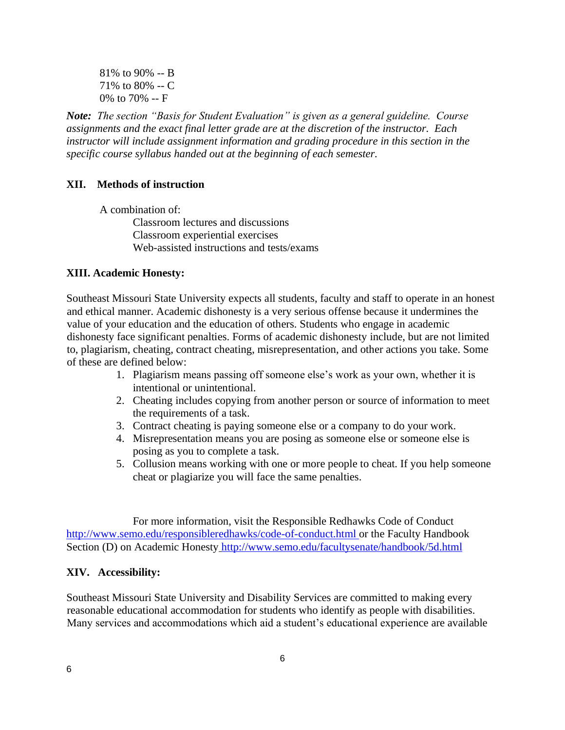81% to 90% -- B 71% to 80% -- C 0% to 70% -- F

*Note: The section "Basis for Student Evaluation" is given as a general guideline. Course assignments and the exact final letter grade are at the discretion of the instructor. Each instructor will include assignment information and grading procedure in this section in the specific course syllabus handed out at the beginning of each semester.*

## **XII. Methods of instruction**

A combination of: Classroom lectures and discussions Classroom experiential exercises Web-assisted instructions and tests/exams

#### **XIII. Academic Honesty:**

Southeast Missouri State University expects all students, faculty and staff to operate in an honest and ethical manner. Academic dishonesty is a very serious offense because it undermines the value of your education and the education of others. Students who engage in academic dishonesty face significant penalties. Forms of academic dishonesty include, but are not limited to, plagiarism, cheating, contract cheating, misrepresentation, and other actions you take. Some of these are defined below:

- 1. Plagiarism means passing off someone else's work as your own, whether it is intentional or unintentional.
- 2. Cheating includes copying from another person or source of information to meet the requirements of a task.
- 3. Contract cheating is paying someone else or a company to do your work.
- 4. Misrepresentation means you are posing as someone else or someone else is posing as you to complete a task.
- 5. Collusion means working with one or more people to cheat. If you help someone cheat or plagiarize you will face the same penalties.

For more information, visit the Responsible Redhawks Code of Conduct http://www.semo.edu/responsibleredhawks/code-of-conduct.html or the Faculty Handbook Section (D) on Academic Honesty http://www.semo.edu/facultysenate/handbook/5d.html

#### **XIV. Accessibility:**

Southeast Missouri State University and Disability Services are committed to making every reasonable educational accommodation for students who identify as people with disabilities. Many services and accommodations which aid a student's educational experience are available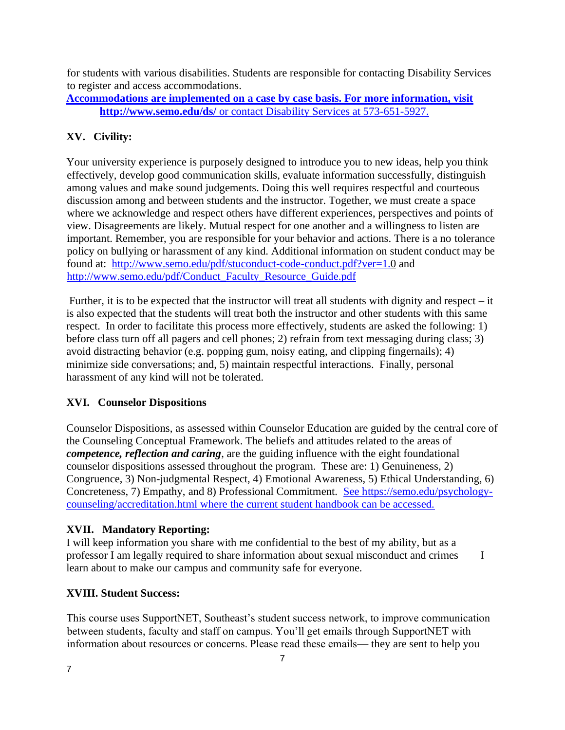for students with various disabilities. Students are responsible for contacting Disability Services to register and access accommodations.

# **Accommodations are implemented on a case by case basis. For more information, visit <http://www.semo.edu/ds/>** or contact Disability Services at 573-651-5927.

# **XV. Civility:**

Your university experience is purposely designed to introduce you to new ideas, help you think effectively, develop good communication skills, evaluate information successfully, distinguish among values and make sound judgements. Doing this well requires respectful and courteous discussion among and between students and the instructor. Together, we must create a space where we acknowledge and respect others have different experiences, perspectives and points of view. Disagreements are likely. Mutual respect for one another and a willingness to listen are important. Remember, you are responsible for your behavior and actions. There is a no tolerance policy on bullying or harassment of any kind. Additional information on student conduct may be found at: <http://www.semo.edu/pdf/stuconduct-code-conduct.pdf?ver=1.0> and [http://www.semo.edu/pdf/Conduct\\_Faculty\\_Resource\\_Guide.pdf](http://www.semo.edu/pdf/Conduct_Faculty_Resource_Guide.pdf)

Further, it is to be expected that the instructor will treat all students with dignity and respect – it is also expected that the students will treat both the instructor and other students with this same respect. In order to facilitate this process more effectively, students are asked the following: 1) before class turn off all pagers and cell phones; 2) refrain from text messaging during class; 3) avoid distracting behavior (e.g. popping gum, noisy eating, and clipping fingernails); 4) minimize side conversations; and, 5) maintain respectful interactions. Finally, personal harassment of any kind will not be tolerated.

# **XVI. Counselor Dispositions**

Counselor Dispositions, as assessed within Counselor Education are guided by the central core of the Counseling Conceptual Framework. The beliefs and attitudes related to the areas of *competence, reflection and caring*, are the guiding influence with the eight foundational counselor dispositions assessed throughout the program. These are: 1) Genuineness, 2) Congruence, 3) Non-judgmental Respect, 4) Emotional Awareness, 5) Ethical Understanding, 6) Concreteness, 7) Empathy, and 8) Professional Commitment. See [https://semo.edu/psychology](https://semo.edu/psychology-counseling/accreditation.html)[counseling/accreditation.html](https://semo.edu/psychology-counseling/accreditation.html) where the current student handbook can be accessed.

# **XVII. Mandatory Reporting:**

I will keep information you share with me confidential to the best of my ability, but as a professor I am legally required to share information about sexual misconduct and crimes I learn about to make our campus and community safe for everyone.

# **XVIII. Student Success:**

This course uses SupportNET, Southeast's student success network, to improve communication between students, faculty and staff on campus. You'll get emails through SupportNET with information about resources or concerns. Please read these emails— they are sent to help you